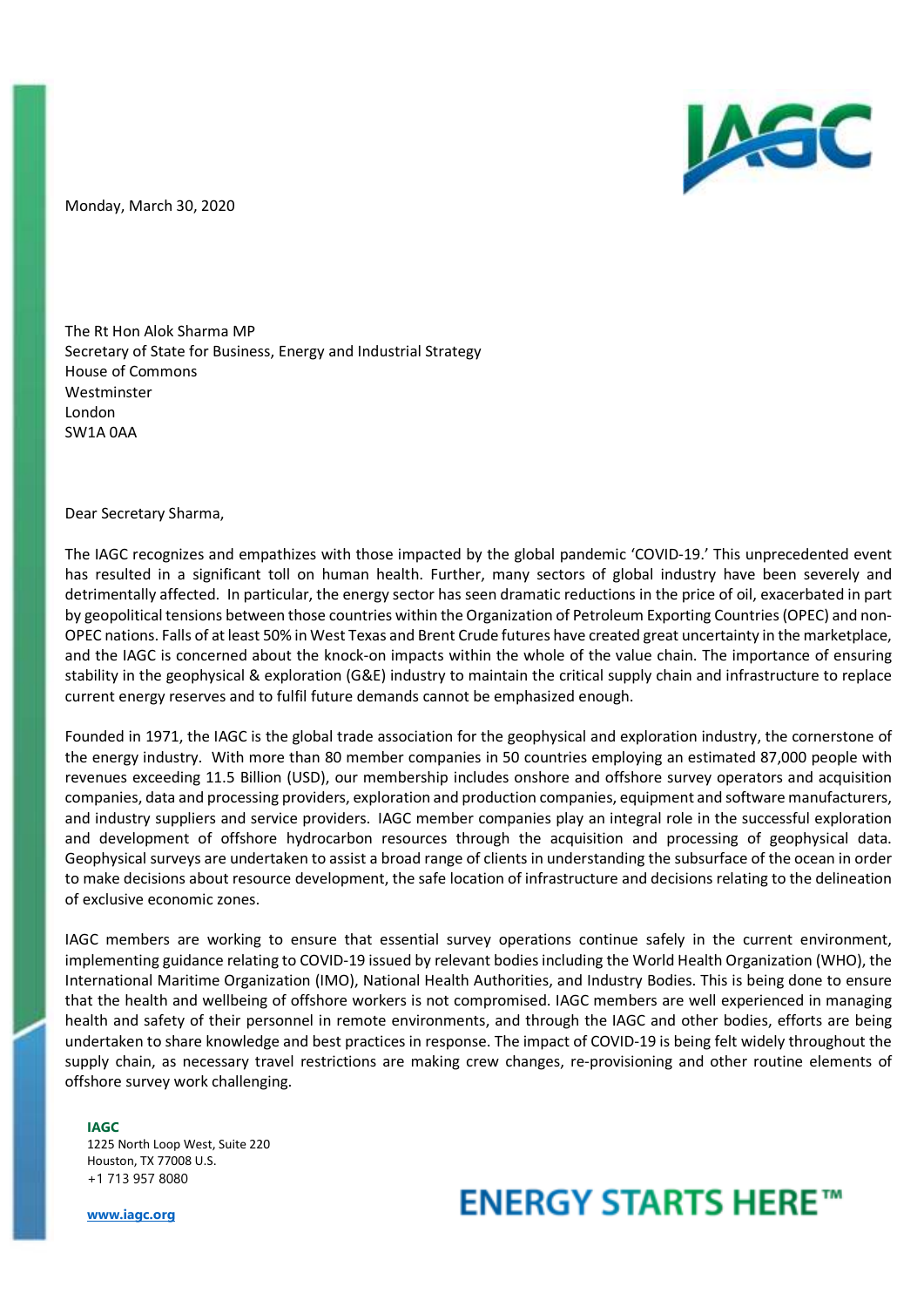

Monday, March 30, 2020

The Rt Hon Alok Sharma MP Secretary of State for Business, Energy and Industrial Strategy House of Commons Westminster London SW1A 0AA

Dear Secretary Sharma,

The IAGC recognizes and empathizes with those impacted by the global pandemic 'COVID-19.' This unprecedented event has resulted in a significant toll on human health. Further, many sectors of global industry have been severely and detrimentally affected. In particular, the energy sector has seen dramatic reductions in the price of oil, exacerbated in part by geopolitical tensions between those countries within the Organization of Petroleum Exporting Countries (OPEC) and non-OPEC nations. Falls of at least 50% in West Texas and Brent Crude futures have created great uncertainty in the marketplace, and the IAGC is concerned about the knock-on impacts within the whole of the value chain. The importance of ensuring stability in the geophysical & exploration (G&E) industry to maintain the critical supply chain and infrastructure to replace current energy reserves and to fulfil future demands cannot be emphasized enough.

Founded in 1971, the IAGC is the global trade association for the geophysical and exploration industry, the cornerstone of the energy industry. With more than 80 member companies in 50 countries employing an estimated 87,000 people with revenues exceeding 11.5 Billion (USD), our membership includes onshore and offshore survey operators and acquisition companies, data and processing providers, exploration and production companies, equipment and software manufacturers, and industry suppliers and service providers. IAGC member companies play an integral role in the successful exploration and development of offshore hydrocarbon resources through the acquisition and processing of geophysical data. Geophysical surveys are undertaken to assist a broad range of clients in understanding the subsurface of the ocean in order to make decisions about resource development, the safe location of infrastructure and decisions relating to the delineation of exclusive economic zones.

IAGC members are working to ensure that essential survey operations continue safely in the current environment, implementing guidance relating to COVID-19 issued by relevant bodies including the World Health Organization (WHO), the International Maritime Organization (IMO), National Health Authorities, and Industry Bodies. This is being done to ensure that the health and wellbeing of offshore workers is not compromised. IAGC members are well experienced in managing health and safety of their personnel in remote environments, and through the IAGC and other bodies, efforts are being undertaken to share knowledge and best practices in response. The impact of COVID-19 is being felt widely throughout the supply chain, as necessary travel restrictions are making crew changes, re-provisioning and other routine elements of offshore survey work challenging.

**IAGC** 

1225 North Loop West, Suite 220 Houston, TX 77008 U.S. +1 713 957 8080

**www.iagc.org**

## **ENERGY STARTS HERE™**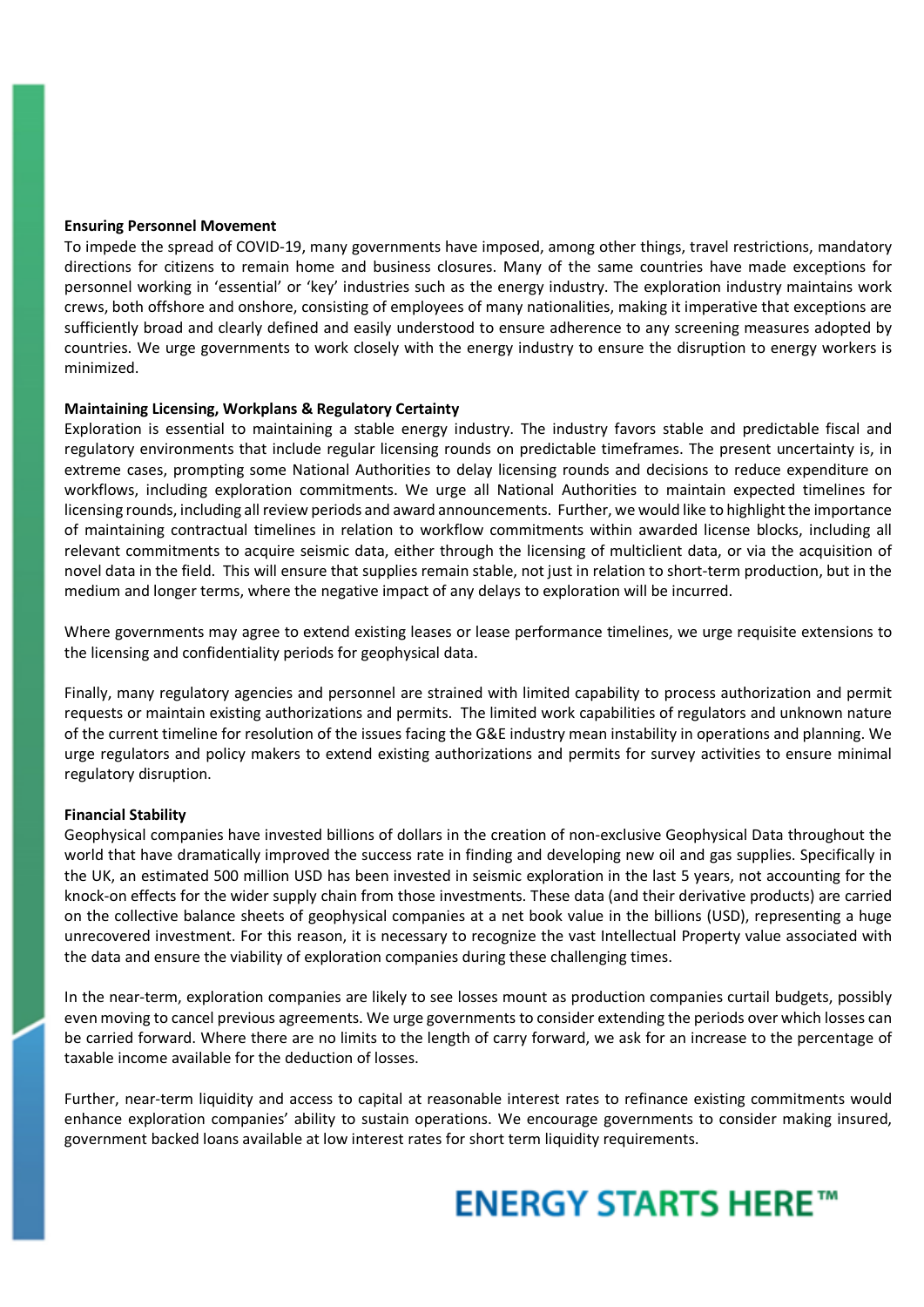#### **Ensuring Personnel Movement**

To impede the spread of COVID-19, many governments have imposed, among other things, travel restrictions, mandatory directions for citizens to remain home and business closures. Many of the same countries have made exceptions for personnel working in 'essential' or 'key' industries such as the energy industry. The exploration industry maintains work crews, both offshore and onshore, consisting of employees of many nationalities, making it imperative that exceptions are sufficiently broad and clearly defined and easily understood to ensure adherence to any screening measures adopted by countries. We urge governments to work closely with the energy industry to ensure the disruption to energy workers is minimized.

#### **Maintaining Licensing, Workplans & Regulatory Certainty**

Exploration is essential to maintaining a stable energy industry. The industry favors stable and predictable fiscal and regulatory environments that include regular licensing rounds on predictable timeframes. The present uncertainty is, in extreme cases, prompting some National Authorities to delay licensing rounds and decisions to reduce expenditure on workflows, including exploration commitments. We urge all National Authorities to maintain expected timelines for licensing rounds, including all review periods and award announcements. Further, we would like to highlight the importance of maintaining contractual timelines in relation to workflow commitments within awarded license blocks, including all relevant commitments to acquire seismic data, either through the licensing of multiclient data, or via the acquisition of novel data in the field. This will ensure that supplies remain stable, not just in relation to short-term production, but in the medium and longer terms, where the negative impact of any delays to exploration will be incurred.

Where governments may agree to extend existing leases or lease performance timelines, we urge requisite extensions to the licensing and confidentiality periods for geophysical data.

Finally, many regulatory agencies and personnel are strained with limited capability to process authorization and permit requests or maintain existing authorizations and permits. The limited work capabilities of regulators and unknown nature of the current timeline for resolution of the issues facing the G&E industry mean instability in operations and planning. We urge regulators and policy makers to extend existing authorizations and permits for survey activities to ensure minimal regulatory disruption.

#### **Financial Stability**

Geophysical companies have invested billions of dollars in the creation of non-exclusive Geophysical Data throughout the world that have dramatically improved the success rate in finding and developing new oil and gas supplies. Specifically in the UK, an estimated 500 million USD has been invested in seismic exploration in the last 5 years, not accounting for the knock-on effects for the wider supply chain from those investments. These data (and their derivative products) are carried on the collective balance sheets of geophysical companies at a net book value in the billions (USD), representing a huge unrecovered investment. For this reason, it is necessary to recognize the vast Intellectual Property value associated with the data and ensure the viability of exploration companies during these challenging times.

In the near-term, exploration companies are likely to see losses mount as production companies curtail budgets, possibly even moving to cancel previous agreements. We urge governments to consider extending the periods over which losses can be carried forward. Where there are no limits to the length of carry forward, we ask for an increase to the percentage of taxable income available for the deduction of losses.

Further, near-term liquidity and access to capital at reasonable interest rates to refinance existing commitments would enhance exploration companies' ability to sustain operations. We encourage governments to consider making insured, government backed loans available at low interest rates for short term liquidity requirements.

# **ENERGY STARTS HERE™**